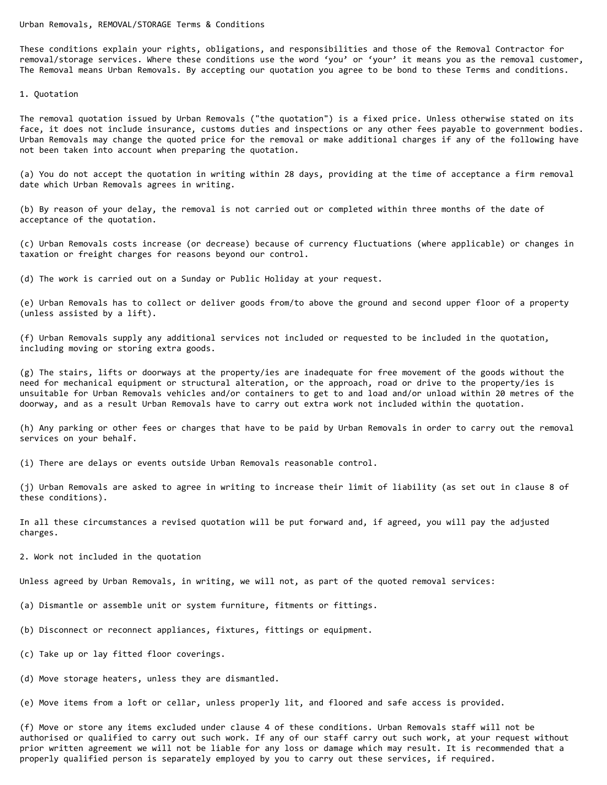Urban Removals, REMOVAL/STORAGE Terms & Conditions

These conditions explain your rights, obligations, and responsibilities and those of the Removal Contractor for removal/storage services. Where these conditions use the word 'you' or 'your' it means you as the removal customer, The Removal means Urban Removals. By accepting our quotation you agree to be bond to these Terms and conditions.

1. Quotation

The removal quotation issued by Urban Removals ("the quotation") is a fixed price. Unless otherwise stated on its face, it does not include insurance, customs duties and inspections or any other fees payable to government bodies. Urban Removals may change the quoted price for the removal or make additional charges if any of the following have not been taken into account when preparing the quotation.

(a) You do not accept the quotation in writing within 28 days, providing at the time of acceptance a firm removal date which Urban Removals agrees in writing.

(b) By reason of your delay, the removal is not carried out or completed within three months of the date of acceptance of the quotation.

(c) Urban Removals costs increase (or decrease) because of currency fluctuations (where applicable) or changes in taxation or freight charges for reasons beyond our control.

(d) The work is carried out on a Sunday or Public Holiday at your request.

(e) Urban Removals has to collect or deliver goods from/to above the ground and second upper floor of a property (unless assisted by a lift).

(f) Urban Removals supply any additional services not included or requested to be included in the quotation, including moving or storing extra goods.

(g) The stairs, lifts or doorways at the property/ies are inadequate for free movement of the goods without the need for mechanical equipment or structural alteration, or the approach, road or drive to the property/ies is unsuitable for Urban Removals vehicles and/or containers to get to and load and/or unload within 20 metres of the doorway, and as a result Urban Removals have to carry out extra work not included within the quotation.

(h) Any parking or other fees or charges that have to be paid by Urban Removals in order to carry out the removal services on your behalf.

(i) There are delays or events outside Urban Removals reasonable control.

(j) Urban Removals are asked to agree in writing to increase their limit of liability (as set out in clause 8 of these conditions).

In all these circumstances a revised quotation will be put forward and, if agreed, you will pay the adjusted charges.

2. Work not included in the quotation

Unless agreed by Urban Removals, in writing, we will not, as part of the quoted removal services:

(a) Dismantle or assemble unit or system furniture, fitments or fittings.

- (b) Disconnect or reconnect appliances, fixtures, fittings or equipment.
- (c) Take up or lay fitted floor coverings.
- (d) Move storage heaters, unless they are dismantled.

(e) Move items from a loft or cellar, unless properly lit, and floored and safe access is provided.

(f) Move or store any items excluded under clause 4 of these conditions. Urban Removals staff will not be authorised or qualified to carry out such work. If any of our staff carry out such work, at your request without prior written agreement we will not be liable for any loss or damage which may result. It is recommended that a properly qualified person is separately employed by you to carry out these services, if required.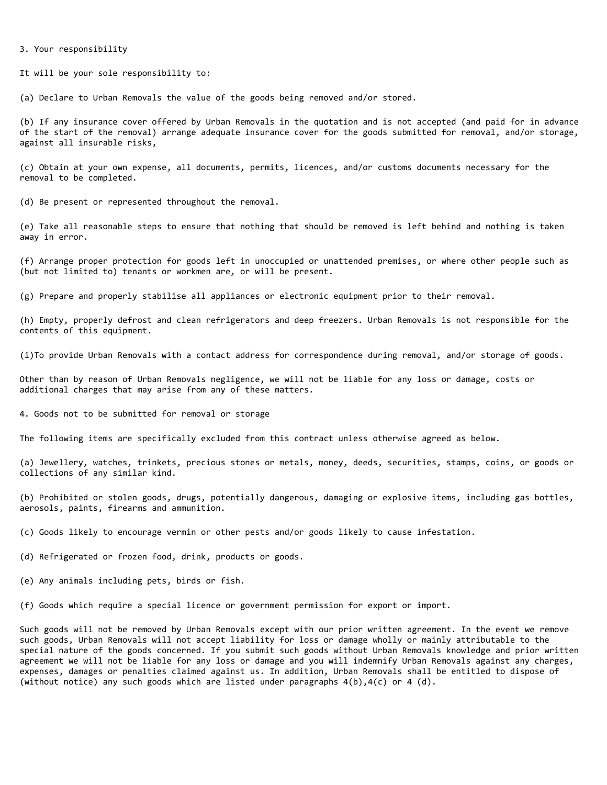### 3. Your responsibility

It will be your sole responsibility to:

(a) Declare to Urban Removals the value of the goods being removed and/or stored.

(b) If any insurance cover offered by Urban Removals in the quotation and is not accepted (and paid for in advance of the start of the removal) arrange adequate insurance cover for the goods submitted for removal, and/or storage, against all insurable risks,

(c) Obtain at your own expense, all documents, permits, licences, and/or customs documents necessary for the removal to be completed.

(d) Be present or represented throughout the removal.

(e) Take all reasonable steps to ensure that nothing that should be removed is left behind and nothing is taken away in error.

(f) Arrange proper protection for goods left in unoccupied or unattended premises, or where other people such as (but not limited to) tenants or workmen are, or will be present.

(g) Prepare and properly stabilise all appliances or electronic equipment prior to their removal.

(h) Empty, properly defrost and clean refrigerators and deep freezers. Urban Removals is not responsible for the contents of this equipment.

(i)To provide Urban Removals with a contact address for correspondence during removal, and/or storage of goods.

Other than by reason of Urban Removals negligence, we will not be liable for any loss or damage, costs or additional charges that may arise from any of these matters.

4. Goods not to be submitted for removal or storage

The following items are specifically excluded from this contract unless otherwise agreed as below.

(a) Jewellery, watches, trinkets, precious stones or metals, money, deeds, securities, stamps, coins, or goods or collections of any similar kind.

(b) Prohibited or stolen goods, drugs, potentially dangerous, damaging or explosive items, including gas bottles, aerosols, paints, firearms and ammunition.

(c) Goods likely to encourage vermin or other pests and/or goods likely to cause infestation.

(d) Refrigerated or frozen food, drink, products or goods.

(e) Any animals including pets, birds or fish.

(f) Goods which require a special licence or government permission for export or import.

Such goods will not be removed by Urban Removals except with our prior written agreement. In the event we remove such goods, Urban Removals will not accept liability for loss or damage wholly or mainly attributable to the special nature of the goods concerned. If you submit such goods without Urban Removals knowledge and prior written agreement we will not be liable for any loss or damage and you will indemnify Urban Removals against any charges, expenses, damages or penalties claimed against us. In addition, Urban Removals shall be entitled to dispose of (without notice) any such goods which are listed under paragraphs  $4(b)$ , $4(c)$  or  $4(d)$ .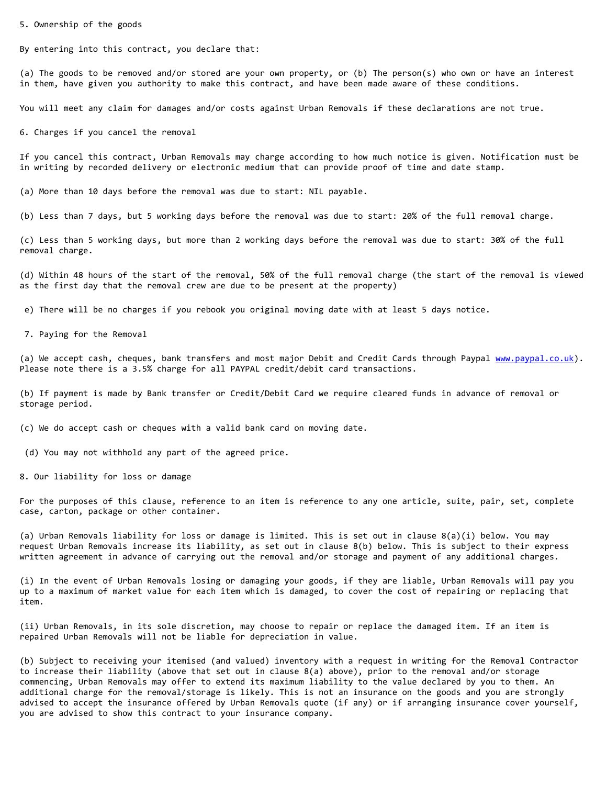5. Ownership of the goods

By entering into this contract, you declare that:

(a) The goods to be removed and/or stored are your own property, or (b) The person(s) who own or have an interest in them, have given you authority to make this contract, and have been made aware of these conditions.

You will meet any claim for damages and/or costs against Urban Removals if these declarations are not true.

6. Charges if you cancel the removal

If you cancel this contract, Urban Removals may charge according to how much notice is given. Notification must be in writing by recorded delivery or electronic medium that can provide proof of time and date stamp.

(a) More than 10 days before the removal was due to start: NIL payable.

(b) Less than 7 days, but 5 working days before the removal was due to start: 20% of the full removal charge.

(c) Less than 5 working days, but more than 2 working days before the removal was due to start: 30% of the full removal charge.

(d) Within 48 hours of the start of the removal, 50% of the full removal charge (the start of the removal is viewed as the first day that the removal crew are due to be present at the property)

e) There will be no charges if you rebook you original moving date with at least 5 days notice.

7. Paying for the Removal

(a) We accept cash, cheques, bank transfers and most major Debit and Credit Cards through Paypal [www.paypal.co.uk\)](http://www.paypal.co.uk/). Please note there is a 3.5% charge for all PAYPAL credit/debit card transactions.

(b) If payment is made by Bank transfer or Credit/Debit Card we require cleared funds in advance of removal or storage period.

(c) We do accept cash or cheques with a valid bank card on moving date.

(d) You may not withhold any part of the agreed price.

8. Our liability for loss or damage

For the purposes of this clause, reference to an item is reference to any one article, suite, pair, set, complete case, carton, package or other container.

(a) Urban Removals liability for loss or damage is limited. This is set out in clause 8(a)(i) below. You may request Urban Removals increase its liability, as set out in clause 8(b) below. This is subject to their express written agreement in advance of carrying out the removal and/or storage and payment of any additional charges.

(i) In the event of Urban Removals losing or damaging your goods, if they are liable, Urban Removals will pay you up to a maximum of market value for each item which is damaged, to cover the cost of repairing or replacing that item.

(ii) Urban Removals, in its sole discretion, may choose to repair or replace the damaged item. If an item is repaired Urban Removals will not be liable for depreciation in value.

(b) Subject to receiving your itemised (and valued) inventory with a request in writing for the Removal Contractor to increase their liability (above that set out in clause 8(a) above), prior to the removal and/or storage commencing, Urban Removals may offer to extend its maximum liability to the value declared by you to them. An additional charge for the removal/storage is likely. This is not an insurance on the goods and you are strongly advised to accept the insurance offered by Urban Removals quote (if any) or if arranging insurance cover yourself, you are advised to show this contract to your insurance company.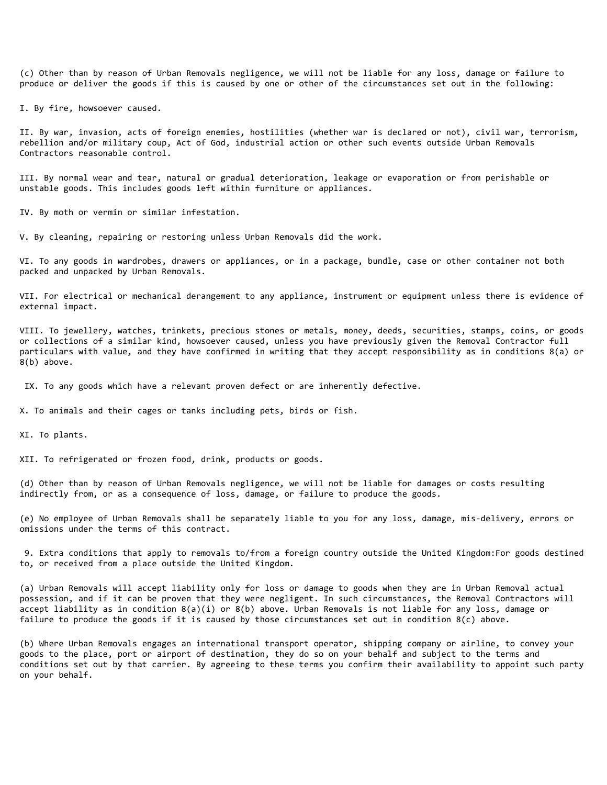(c) Other than by reason of Urban Removals negligence, we will not be liable for any loss, damage or failure to produce or deliver the goods if this is caused by one or other of the circumstances set out in the following:

I. By fire, howsoever caused.

II. By war, invasion, acts of foreign enemies, hostilities (whether war is declared or not), civil war, terrorism, rebellion and/or military coup, Act of God, industrial action or other such events outside Urban Removals Contractors reasonable control.

III. By normal wear and tear, natural or gradual deterioration, leakage or evaporation or from perishable or unstable goods. This includes goods left within furniture or appliances.

IV. By moth or vermin or similar infestation.

V. By cleaning, repairing or restoring unless Urban Removals did the work.

VI. To any goods in wardrobes, drawers or appliances, or in a package, bundle, case or other container not both packed and unpacked by Urban Removals.

VII. For electrical or mechanical derangement to any appliance, instrument or equipment unless there is evidence of external impact.

VIII. To jewellery, watches, trinkets, precious stones or metals, money, deeds, securities, stamps, coins, or goods or collections of a similar kind, howsoever caused, unless you have previously given the Removal Contractor full particulars with value, and they have confirmed in writing that they accept responsibility as in conditions 8(a) or 8(b) above.

IX. To any goods which have a relevant proven defect or are inherently defective.

X. To animals and their cages or tanks including pets, birds or fish.

XI. To plants.

XII. To refrigerated or frozen food, drink, products or goods.

(d) Other than by reason of Urban Removals negligence, we will not be liable for damages or costs resulting indirectly from, or as a consequence of loss, damage, or failure to produce the goods.

(e) No employee of Urban Removals shall be separately liable to you for any loss, damage, mis-delivery, errors or omissions under the terms of this contract.

9. Extra conditions that apply to removals to/from a foreign country outside the United Kingdom:For goods destined to, or received from a place outside the United Kingdom.

(a) Urban Removals will accept liability only for loss or damage to goods when they are in Urban Removal actual possession, and if it can be proven that they were negligent. In such circumstances, the Removal Contractors will accept liability as in condition 8(a)(i) or 8(b) above. Urban Removals is not liable for any loss, damage or failure to produce the goods if it is caused by those circumstances set out in condition  $8(c)$  above.

(b) Where Urban Removals engages an international transport operator, shipping company or airline, to convey your goods to the place, port or airport of destination, they do so on your behalf and subject to the terms and conditions set out by that carrier. By agreeing to these terms you confirm their availability to appoint such party on your behalf.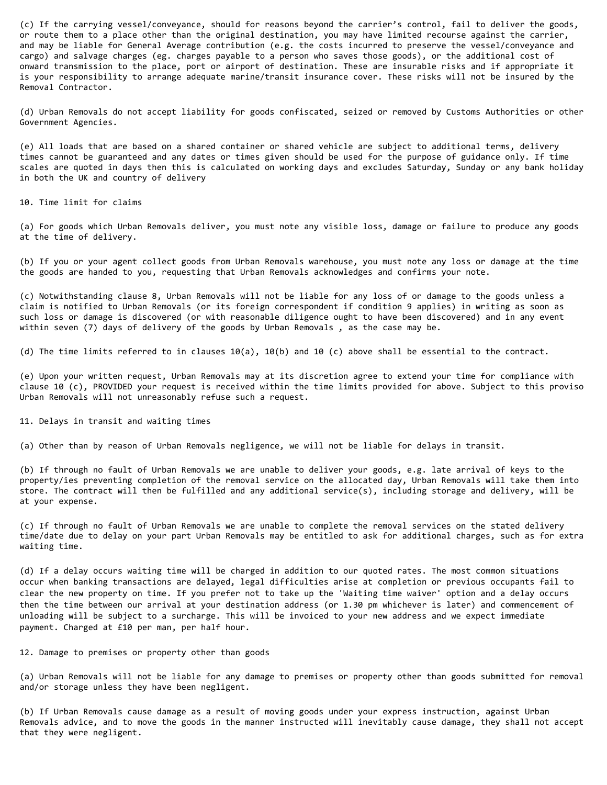(c) If the carrying vessel/conveyance, should for reasons beyond the carrier's control, fail to deliver the goods, or route them to a place other than the original destination, you may have limited recourse against the carrier, and may be liable for General Average contribution (e.g. the costs incurred to preserve the vessel/conveyance and cargo) and salvage charges (eg. charges payable to a person who saves those goods), or the additional cost of onward transmission to the place, port or airport of destination. These are insurable risks and if appropriate it is your responsibility to arrange adequate marine/transit insurance cover. These risks will not be insured by the Removal Contractor.

(d) Urban Removals do not accept liability for goods confiscated, seized or removed by Customs Authorities or other Government Agencies.

(e) All loads that are based on a shared container or shared vehicle are subject to additional terms, delivery times cannot be guaranteed and any dates or times given should be used for the purpose of guidance only. If time scales are quoted in days then this is calculated on working days and excludes Saturday, Sunday or any bank holiday in both the UK and country of delivery

10. Time limit for claims

(a) For goods which Urban Removals deliver, you must note any visible loss, damage or failure to produce any goods at the time of delivery.

(b) If you or your agent collect goods from Urban Removals warehouse, you must note any loss or damage at the time the goods are handed to you, requesting that Urban Removals acknowledges and confirms your note.

(c) Notwithstanding clause 8, Urban Removals will not be liable for any loss of or damage to the goods unless a claim is notified to Urban Removals (or its foreign correspondent if condition 9 applies) in writing as soon as such loss or damage is discovered (or with reasonable diligence ought to have been discovered) and in any event within seven (7) days of delivery of the goods by Urban Removals , as the case may be.

(d) The time limits referred to in clauses 10(a), 10(b) and 10 (c) above shall be essential to the contract.

(e) Upon your written request, Urban Removals may at its discretion agree to extend your time for compliance with clause 10 (c), PROVIDED your request is received within the time limits provided for above. Subject to this proviso Urban Removals will not unreasonably refuse such a request.

11. Delays in transit and waiting times

(a) Other than by reason of Urban Removals negligence, we will not be liable for delays in transit.

(b) If through no fault of Urban Removals we are unable to deliver your goods, e.g. late arrival of keys to the property/ies preventing completion of the removal service on the allocated day, Urban Removals will take them into store. The contract will then be fulfilled and any additional service(s), including storage and delivery, will be at your expense.

(c) If through no fault of Urban Removals we are unable to complete the removal services on the stated delivery time/date due to delay on your part Urban Removals may be entitled to ask for additional charges, such as for extra waiting time.

(d) If a delay occurs waiting time will be charged in addition to our quoted rates. The most common situations occur when banking transactions are delayed, legal difficulties arise at completion or previous occupants fail to clear the new property on time. If you prefer not to take up the 'Waiting time waiver' option and a delay occurs then the time between our arrival at your destination address (or 1.30 pm whichever is later) and commencement of unloading will be subject to a surcharge. This will be invoiced to your new address and we expect immediate payment. Charged at £10 per man, per half hour.

12. Damage to premises or property other than goods

(a) Urban Removals will not be liable for any damage to premises or property other than goods submitted for removal and/or storage unless they have been negligent.

(b) If Urban Removals cause damage as a result of moving goods under your express instruction, against Urban Removals advice, and to move the goods in the manner instructed will inevitably cause damage, they shall not accept that they were negligent.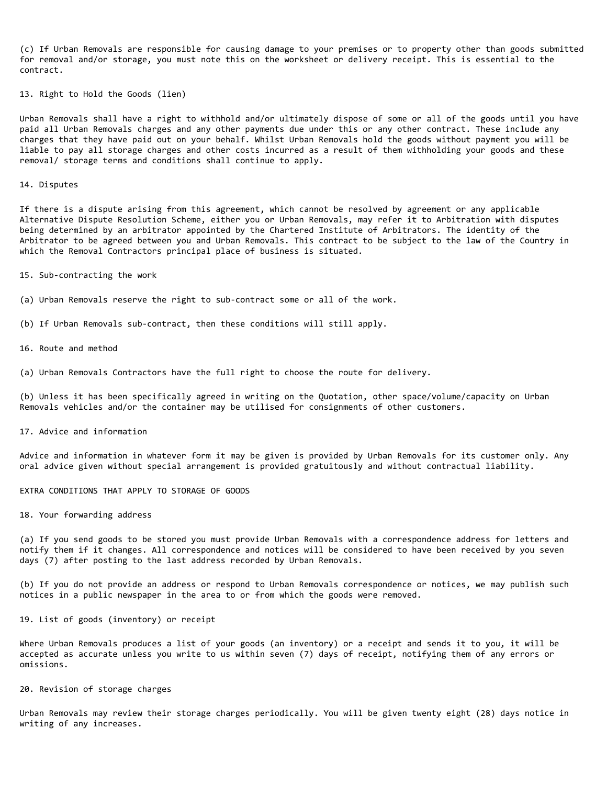(c) If Urban Removals are responsible for causing damage to your premises or to property other than goods submitted for removal and/or storage, you must note this on the worksheet or delivery receipt. This is essential to the contract.

13. Right to Hold the Goods (lien)

Urban Removals shall have a right to withhold and/or ultimately dispose of some or all of the goods until you have paid all Urban Removals charges and any other payments due under this or any other contract. These include any charges that they have paid out on your behalf. Whilst Urban Removals hold the goods without payment you will be liable to pay all storage charges and other costs incurred as a result of them withholding your goods and these removal/ storage terms and conditions shall continue to apply.

14. Disputes

If there is a dispute arising from this agreement, which cannot be resolved by agreement or any applicable Alternative Dispute Resolution Scheme, either you or Urban Removals, may refer it to Arbitration with disputes being determined by an arbitrator appointed by the Chartered Institute of Arbitrators. The identity of the Arbitrator to be agreed between you and Urban Removals. This contract to be subject to the law of the Country in which the Removal Contractors principal place of business is situated.

15. Sub-contracting the work

(a) Urban Removals reserve the right to sub-contract some or all of the work.

(b) If Urban Removals sub-contract, then these conditions will still apply.

16. Route and method

(a) Urban Removals Contractors have the full right to choose the route for delivery.

(b) Unless it has been specifically agreed in writing on the Quotation, other space/volume/capacity on Urban Removals vehicles and/or the container may be utilised for consignments of other customers.

17. Advice and information

Advice and information in whatever form it may be given is provided by Urban Removals for its customer only. Any oral advice given without special arrangement is provided gratuitously and without contractual liability.

EXTRA CONDITIONS THAT APPLY TO STORAGE OF GOODS

18. Your forwarding address

(a) If you send goods to be stored you must provide Urban Removals with a correspondence address for letters and notify them if it changes. All correspondence and notices will be considered to have been received by you seven days (7) after posting to the last address recorded by Urban Removals.

(b) If you do not provide an address or respond to Urban Removals correspondence or notices, we may publish such notices in a public newspaper in the area to or from which the goods were removed.

19. List of goods (inventory) or receipt

Where Urban Removals produces a list of your goods (an inventory) or a receipt and sends it to you, it will be accepted as accurate unless you write to us within seven (7) days of receipt, notifying them of any errors or omissions.

20. Revision of storage charges

Urban Removals may review their storage charges periodically. You will be given twenty eight (28) days notice in writing of any increases.